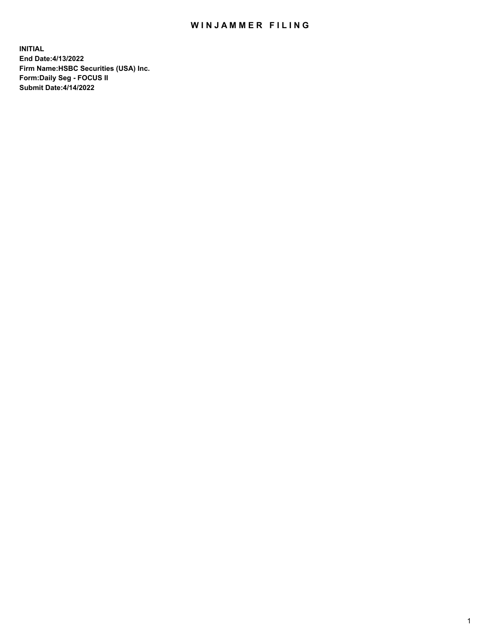## WIN JAMMER FILING

**INITIAL End Date:4/13/2022 Firm Name:HSBC Securities (USA) Inc. Form:Daily Seg - FOCUS II Submit Date:4/14/2022**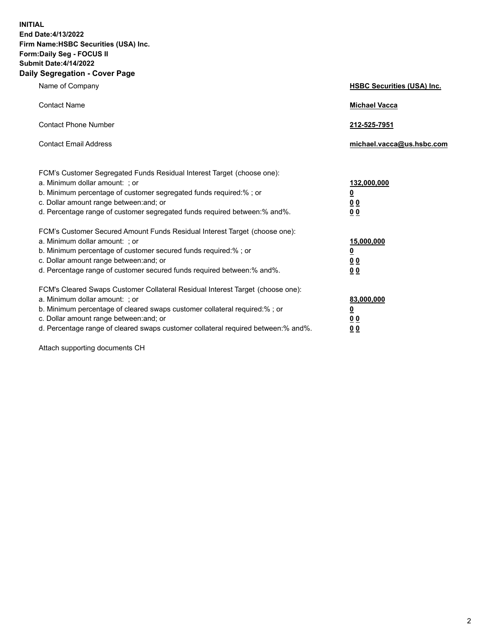**INITIAL End Date:4/13/2022 Firm Name:HSBC Securities (USA) Inc. Form:Daily Seg - FOCUS II Submit Date:4/14/2022 Daily Segregation - Cover Page**

| Name of Company                                                                                                                                                                                                                                                                                                                | <b>HSBC Securities (USA) Inc.</b>                          |
|--------------------------------------------------------------------------------------------------------------------------------------------------------------------------------------------------------------------------------------------------------------------------------------------------------------------------------|------------------------------------------------------------|
| <b>Contact Name</b>                                                                                                                                                                                                                                                                                                            | <b>Michael Vacca</b>                                       |
| <b>Contact Phone Number</b>                                                                                                                                                                                                                                                                                                    | 212-525-7951                                               |
| <b>Contact Email Address</b>                                                                                                                                                                                                                                                                                                   | michael.vacca@us.hsbc.com                                  |
| FCM's Customer Segregated Funds Residual Interest Target (choose one):<br>a. Minimum dollar amount: ; or<br>b. Minimum percentage of customer segregated funds required:%; or<br>c. Dollar amount range between: and; or<br>d. Percentage range of customer segregated funds required between: % and %.                        | 132,000,000<br><u>0</u><br>00<br>0 <sub>0</sub>            |
| FCM's Customer Secured Amount Funds Residual Interest Target (choose one):<br>a. Minimum dollar amount: ; or<br>b. Minimum percentage of customer secured funds required:%; or<br>c. Dollar amount range between: and; or<br>d. Percentage range of customer secured funds required between: % and %.                          | 15,000,000<br><u>0</u><br>0 <sub>0</sub><br>0 <sub>0</sub> |
| FCM's Cleared Swaps Customer Collateral Residual Interest Target (choose one):<br>a. Minimum dollar amount: ; or<br>b. Minimum percentage of cleared swaps customer collateral required:% ; or<br>c. Dollar amount range between: and; or<br>d. Percentage range of cleared swaps customer collateral required between:% and%. | 83,000,000<br><u>0</u><br><u>00</u><br>00                  |

Attach supporting documents CH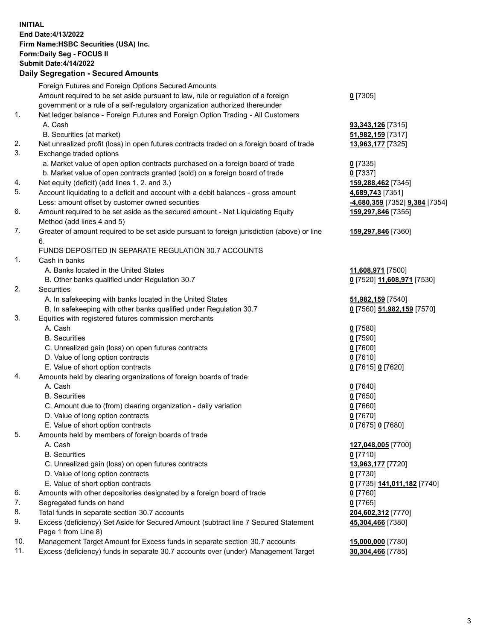**INITIAL End Date:4/13/2022 Firm Name:HSBC Securities (USA) Inc. Form:Daily Seg - FOCUS II Submit Date:4/14/2022 Daily Segregation - Secured Amounts**

Foreign Futures and Foreign Options Secured Amounts Amount required to be set aside pursuant to law, rule or regulation of a foreign government or a rule of a self-regulatory organization authorized thereunder **0** [7305] 1. Net ledger balance - Foreign Futures and Foreign Option Trading - All Customers A. Cash **93,343,126** [7315] B. Securities (at market) **51,982,159** [7317] 2. Net unrealized profit (loss) in open futures contracts traded on a foreign board of trade **13,963,177** [7325] 3. Exchange traded options a. Market value of open option contracts purchased on a foreign board of trade **0** [7335] b. Market value of open contracts granted (sold) on a foreign board of trade **0** [7337] 4. Net equity (deficit) (add lines 1. 2. and 3.) **159,288,462** [7345] 5. Account liquidating to a deficit and account with a debit balances - gross amount **4,689,743** [7351] Less: amount offset by customer owned securities **-4,680,359** [7352] **9,384** [7354] 6. Amount required to be set aside as the secured amount - Net Liquidating Equity Method (add lines 4 and 5) **159,297,846** [7355] 7. Greater of amount required to be set aside pursuant to foreign jurisdiction (above) or line 6. **159,297,846** [7360] FUNDS DEPOSITED IN SEPARATE REGULATION 30.7 ACCOUNTS 1. Cash in banks A. Banks located in the United States **11,608,971** [7500] B. Other banks qualified under Regulation 30.7 **0** [7520] **11,608,971** [7530] 2. Securities A. In safekeeping with banks located in the United States **51,982,159** [7540] B. In safekeeping with other banks qualified under Regulation 30.7 **0** [7560] **51,982,159** [7570] 3. Equities with registered futures commission merchants A. Cash **0** [7580] B. Securities **0** [7590] C. Unrealized gain (loss) on open futures contracts **0** [7600] D. Value of long option contracts **0** [7610] E. Value of short option contracts **0** [7615] **0** [7620] 4. Amounts held by clearing organizations of foreign boards of trade A. Cash **0** [7640] B. Securities **0** [7650] C. Amount due to (from) clearing organization - daily variation **0** [7660] D. Value of long option contracts **0** [7670] E. Value of short option contracts **0** [7675] **0** [7680] 5. Amounts held by members of foreign boards of trade A. Cash **127,048,005** [7700] B. Securities **0** [7710] C. Unrealized gain (loss) on open futures contracts **13,963,177** [7720] D. Value of long option contracts **0** [7730] E. Value of short option contracts **0** [7735] **141,011,182** [7740] 6. Amounts with other depositories designated by a foreign board of trade **0** [7760] 7. Segregated funds on hand **0** [7765] 8. Total funds in separate section 30.7 accounts **204,602,312** [7770] 9. Excess (deficiency) Set Aside for Secured Amount (subtract line 7 Secured Statement Page 1 from Line 8) **45,304,466** [7380] 10. Management Target Amount for Excess funds in separate section 30.7 accounts **15,000,000** [7780] 11. Excess (deficiency) funds in separate 30.7 accounts over (under) Management Target **30,304,466** [7785]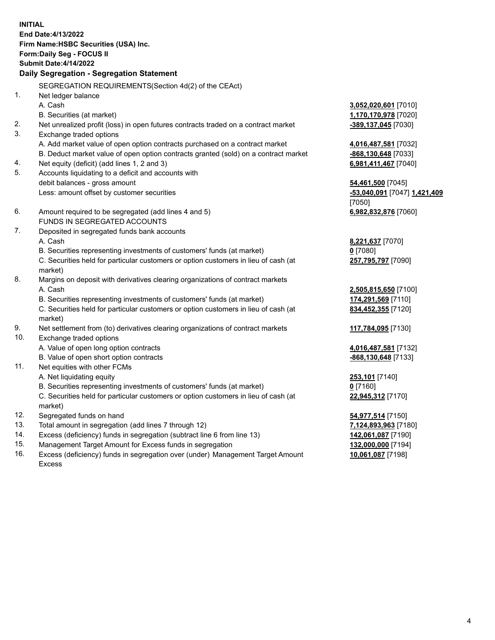**INITIAL End Date:4/13/2022 Firm Name:HSBC Securities (USA) Inc. Form:Daily Seg - FOCUS II Submit Date:4/14/2022 Daily Segregation - Segregation Statement** SEGREGATION REQUIREMENTS(Section 4d(2) of the CEAct) 1. Net ledger balance A. Cash **3,052,020,601** [7010] B. Securities (at market) **1,170,170,978** [7020] 2. Net unrealized profit (loss) in open futures contracts traded on a contract market **-389,137,045** [7030] 3. Exchange traded options A. Add market value of open option contracts purchased on a contract market **4,016,487,581** [7032] B. Deduct market value of open option contracts granted (sold) on a contract market **-868,130,648** [7033] 4. Net equity (deficit) (add lines 1, 2 and 3) **6,981,411,467** [7040] 5. Accounts liquidating to a deficit and accounts with debit balances - gross amount **54,461,500** [7045] Less: amount offset by customer securities **-53,040,091** [7047] **1,421,409** [7050] 6. Amount required to be segregated (add lines 4 and 5) **6,982,832,876** [7060] FUNDS IN SEGREGATED ACCOUNTS 7. Deposited in segregated funds bank accounts A. Cash **8,221,637** [7070] B. Securities representing investments of customers' funds (at market) **0** [7080] C. Securities held for particular customers or option customers in lieu of cash (at market) **257,795,797** [7090] 8. Margins on deposit with derivatives clearing organizations of contract markets A. Cash **2,505,815,650** [7100] B. Securities representing investments of customers' funds (at market) **174,291,569** [7110] C. Securities held for particular customers or option customers in lieu of cash (at market) **834,452,355** [7120] 9. Net settlement from (to) derivatives clearing organizations of contract markets **117,784,095** [7130] 10. Exchange traded options A. Value of open long option contracts **4,016,487,581** [7132] B. Value of open short option contracts **-868,130,648** [7133] 11. Net equities with other FCMs A. Net liquidating equity **253,101** [7140] B. Securities representing investments of customers' funds (at market) **0** [7160] C. Securities held for particular customers or option customers in lieu of cash (at market) **22,945,312** [7170] 12. Segregated funds on hand **54,977,514** [7150] 13. Total amount in segregation (add lines 7 through 12) **7,124,893,963** [7180] 14. Excess (deficiency) funds in segregation (subtract line 6 from line 13) **142,061,087** [7190] 15. Management Target Amount for Excess funds in segregation **132,000,000** [7194]

16. Excess (deficiency) funds in segregation over (under) Management Target Amount Excess

**10,061,087** [7198]